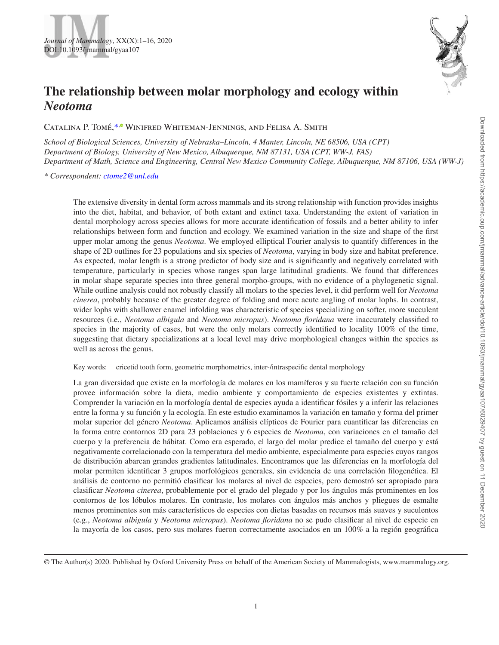# **The relationship between molar morphology and ecology within**  *Neotoma*

CATALINA P. TOMÉ,<sup>[\\*](#page-0-0),®</sup> WINIFRED WHITEMAN-JENNINGS[,](http://orcid.org/0000-0001-8508-7202) AND FELISA A. SMITH

*School of Biological Sciences, University of Nebraska–Lincoln, 4 Manter, Lincoln, NE 68506, USA (CPT) Department of Biology, University of New Mexico, Albuquerque, NM 87131, USA (CPT, WW-J, FAS) Department of Math, Science and Engineering, Central New Mexico Community College, Albuquerque, NM 87106, USA (WW-J)*

<span id="page-0-0"></span>*\* Correspondent: [ctome2@unl.edu](mailto:ctome2@unl.edu?subject=)*

The extensive diversity in dental form across mammals and its strong relationship with function provides insights into the diet, habitat, and behavior, of both extant and extinct taxa. Understanding the extent of variation in dental morphology across species allows for more accurate identification of fossils and a better ability to infer relationships between form and function and ecology. We examined variation in the size and shape of the first upper molar among the genus *Neotoma*. We employed elliptical Fourier analysis to quantify differences in the shape of 2D outlines for 23 populations and six species of *Neotoma*, varying in body size and habitat preference. As expected, molar length is a strong predictor of body size and is significantly and negatively correlated with temperature, particularly in species whose ranges span large latitudinal gradients. We found that differences in molar shape separate species into three general morpho-groups, with no evidence of a phylogenetic signal. While outline analysis could not robustly classify all molars to the species level, it did perform well for *Neotoma cinerea*, probably because of the greater degree of folding and more acute angling of molar lophs. In contrast, wider lophs with shallower enamel infolding was characteristic of species specializing on softer, more succulent resources (i.e., *Neotoma albigula* and *Neotoma micropus*). *Neotoma floridana* were inaccurately classified to species in the majority of cases, but were the only molars correctly identified to locality 100% of the time, suggesting that dietary specializations at a local level may drive morphological changes within the species as well as across the genus.

Key words: cricetid tooth form, geometric morphometrics, inter-/intraspecific dental morphology

La gran diversidad que existe en la morfología de molares en los mamíferos y su fuerte relación con su función provee información sobre la dieta, medio ambiente y comportamiento de especies existentes y extintas. Comprender la variación en la morfología dental de especies ayuda a identificar fósiles y a inferir las relaciones entre la forma y su función y la ecología. En este estudio examinamos la variación en tamaño y forma del primer molar superior del género *Neotoma*. Aplicamos análisis elípticos de Fourier para cuantificar las diferencias en la forma entre contornos 2D para 23 poblaciones y 6 especies de *Neotoma*, con variaciones en el tamaño del cuerpo y la preferencia de hábitat. Como era esperado, el largo del molar predice el tamaño del cuerpo y está negativamente correlacionado con la temperatura del medio ambiente, especialmente para especies cuyos rangos de distribución abarcan grandes gradientes latitudinales. Encontramos que las diferencias en la morfología del molar permiten identificar 3 grupos morfológicos generales, sin evidencia de una correlación filogenética. El análisis de contorno no permitió clasificar los molares al nivel de especies, pero demostró ser apropiado para clasificar *Neotoma cinerea*, probablemente por el grado del plegado y por los ángulos más prominentes en los contornos de los lóbulos molares. En contraste, los molares con ángulos más anchos y pliegues de esmalte menos prominentes son más característicos de especies con dietas basadas en recursos más suaves y suculentos (e.g., *Neotoma albigula* y *Neotoma micropus*). *Neotoma floridana* no se pudo clasificar al nivel de especie en la mayoría de los casos, pero sus molares fueron correctamente asociados en un 100% a la región geográfica



<sup>©</sup> The Author(s) 2020. Published by Oxford University Press on behalf of the American Society of Mammalogists, www.mammalogy.org.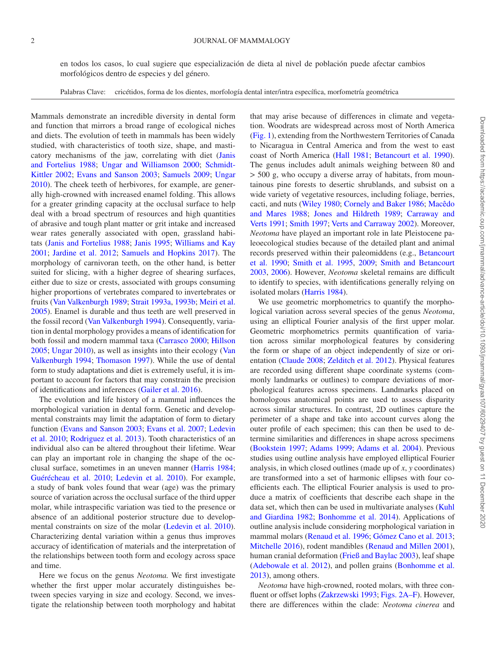#### 2 JOURNAL OF MAMMALOGY

en todos los casos, lo cual sugiere que especialización de dieta al nivel de población puede afectar cambios morfológicos dentro de especies y del género.

Palabras Clave: cricétidos, forma de los dientes, morfología dental inter/intra específica, morfometría geométrica

Mammals demonstrate an incredible diversity in dental form and function that mirrors a broad range of ecological niches and diets. The evolution of teeth in mammals has been widely studied, with characteristics of tooth size, shape, and masticatory mechanisms of the jaw, correlating with diet ([Janis](#page-13-0)  [and Fortelius 1988;](#page-13-0) [Ungar and Williamson 2000;](#page-14-0) [Schmidt-](#page-14-1)[Kittler 2002](#page-14-1); [Evans and Sanson 2003](#page-13-1); [Samuels 2009;](#page-14-2) [Ungar](#page-14-3) [2010](#page-14-3)). The cheek teeth of herbivores, for example, are generally high-crowned with increased enamel folding. This allows for a greater grinding capacity at the occlusal surface to help deal with a broad spectrum of resources and high quantities of abrasive and tough plant matter or grit intake and increased wear rates generally associated with open, grassland habitats ([Janis and Fortelius 1988](#page-13-0); [Janis 1995;](#page-13-2) [Williams and Kay](#page-14-4) [2001](#page-14-4); [Jardine et al. 2012;](#page-13-3) [Samuels and Hopkins 2017\)](#page-14-5). The morphology of carnivoran teeth, on the other hand, is better suited for slicing, with a higher degree of shearing surfaces, either due to size or crests, associated with groups consuming higher proportions of vertebrates compared to invertebrates or fruits ([Van Valkenburgh 1989;](#page-14-6) [Strait 1993a,](#page-14-7) [1993b;](#page-14-8) [Meiri et al.](#page-13-4) [2005](#page-13-4)). Enamel is durable and thus teeth are well preserved in the fossil record ([Van Valkenburgh 1994](#page-14-9)). Consequently, variation in dental morphology provides a means of identification for both fossil and modern mammal taxa [\(Carrasco 2000;](#page-13-5) [Hillson](#page-13-6) [2005](#page-13-6); [Ungar 2010](#page-14-3)), as well as insights into their ecology [\(Van](#page-14-9) [Valkenburgh 1994](#page-14-9); [Thomason 1997\)](#page-14-10). While the use of dental form to study adaptations and diet is extremely useful, it is important to account for factors that may constrain the precision of identifications and inferences ([Gailer et al. 2016\)](#page-13-7).

The evolution and life history of a mammal influences the morphological variation in dental form. Genetic and developmental constraints may limit the adaptation of form to dietary function ([Evans and Sanson 2003](#page-13-1); [Evans et al. 2007;](#page-13-8) [Ledevin](#page-13-9) [et al. 2010;](#page-13-9) [Rodriguez et al. 2013\)](#page-14-11). Tooth characteristics of an individual also can be altered throughout their lifetime. Wear can play an important role in changing the shape of the occlusal surface, sometimes in an uneven manner ([Harris 1984](#page-13-10); [Guérécheau et al. 2010](#page-13-11); [Ledevin et al. 2010\)](#page-13-9). For example, a study of bank voles found that wear (age) was the primary source of variation across the occlusal surface of the third upper molar, while intraspecific variation was tied to the presence or absence of an additional posterior structure due to developmental constraints on size of the molar ([Ledevin et al. 2010](#page-13-9)). Characterizing dental variation within a genus thus improves accuracy of identification of materials and the interpretation of the relationships between tooth form and ecology across space and time.

Here we focus on the genus *Neotoma.* We first investigate whether the first upper molar accurately distinguishes between species varying in size and ecology. Second, we investigate the relationship between tooth morphology and habitat that may arise because of differences in climate and vegetation. Woodrats are widespread across most of North America [\(Fig. 1](#page-2-0)), extending from the Northwestern Territories of Canada to Nicaragua in Central America and from the west to east coast of North America ([Hall 1981](#page-13-12); [Betancourt et al. 1990](#page-12-0)). The genus includes adult animals weighing between 80 and > 500 g, who occupy a diverse array of habitats, from mountainous pine forests to desertic shrublands, and subsist on a wide variety of vegetative resources, including foliage, berries, cacti, and nuts ([Wiley 1980;](#page-14-12) [Cornely and Baker 1986](#page-13-13); [Macêdo](#page-13-14) [and Mares 1988](#page-13-14); [Jones and Hildreth 1989](#page-13-15); [Carraway and](#page-13-16) [Verts 1991](#page-13-16); [Smith 1997](#page-14-13); [Verts and Carraway 2002](#page-14-14)). Moreover, *Neotoma* have played an important role in late Pleistocene paleoecological studies because of the detailed plant and animal records preserved within their paleomiddens (e.g., [Betancourt](#page-12-0) [et al. 1990;](#page-12-0) [Smith et al. 1995](#page-14-15), [2009](#page-14-16); [Smith and Betancourt](#page-14-17) [2003](#page-14-17), [2006\)](#page-14-18). However, *Neotoma* skeletal remains are difficult to identify to species, with identifications generally relying on isolated molars ([Harris 1984](#page-13-10)).

We use geometric morphometrics to quantify the morphological variation across several species of the genus *Neotoma*, using an elliptical Fourier analysis of the first upper molar. Geometric morphometrics permits quantification of variation across similar morphological features by considering the form or shape of an object independently of size or orientation [\(Claude 2008;](#page-13-17) [Zelditch et al. 2012](#page-14-19)). Physical features are recorded using different shape coordinate systems (commonly landmarks or outlines) to compare deviations of morphological features across specimens. Landmarks placed on homologous anatomical points are used to assess disparity across similar structures. In contrast, 2D outlines capture the perimeter of a shape and take into account curves along the outer profile of each specimen; this can then be used to determine similarities and differences in shape across specimens [\(Bookstein 1997](#page-12-1); [Adams 1999](#page-12-2); [Adams et al. 2004\)](#page-12-3). Previous studies using outline analysis have employed elliptical Fourier analysis, in which closed outlines (made up of *x*, *y* coordinates) are transformed into a set of harmonic ellipses with four coefficients each. The elliptical Fourier analysis is used to produce a matrix of coefficients that describe each shape in the data set, which then can be used in multivariate analyses [\(Kuhl](#page-13-18) [and Giardina 1982](#page-13-18); [Bonhomme et al. 2014\)](#page-12-4). Applications of outline analysis include considering morphological variation in mammal molars ([Renaud et al. 1996;](#page-14-20) [Gómez Cano et al. 2013](#page-13-19); [Mitchelle 2016](#page-13-20)), rodent mandibles [\(Renaud and Millen 2001](#page-14-21)), human cranial deformation [\(Frieß and Baylac 2003](#page-13-21)), leaf shape [\(Adebowale et al. 2012](#page-12-5)), and pollen grains ([Bonhomme et al.](#page-12-6) [2013](#page-12-6)), among others.

*Neotoma* have high-crowned, rooted molars, with three confluent or offset lophs [\(Zakrzewski 1993](#page-14-22); [Figs. 2A–F](#page-3-0)). However, there are differences within the clade: *Neotoma cinerea* and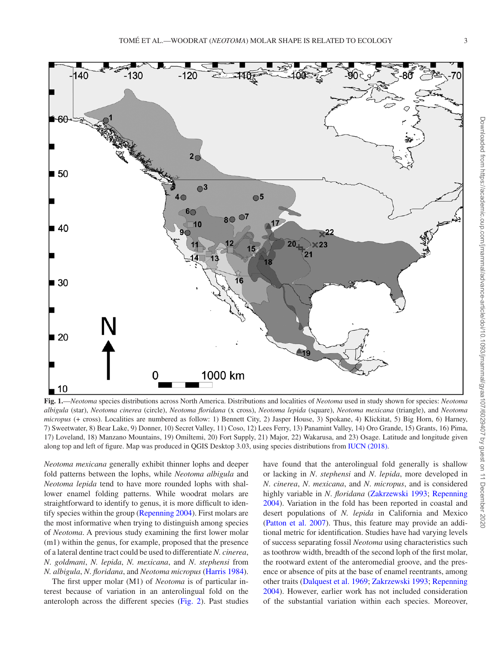

<span id="page-2-0"></span>**Fig. 1.**—*Neotoma* species distributions across North America. Distributions and localities of *Neotoma* used in study shown for species: *Neotoma albigula* (star), *Neotoma cinerea* (circle), *Neotoma floridana* (x cross), *Neotoma lepida* (square), *Neotoma mexicana* (triangle), and *Neotoma micropus* (+ cross). Localities are numbered as follow: 1) Bennett City, 2) Jasper House, 3) Spokane, 4) Klickitat, 5) Big Horn, 6) Harney, 7) Sweetwater, 8) Bear Lake, 9) Donner, 10) Secret Valley, 11) Coso, 12) Lees Ferry, 13) Panamint Valley, 14) Oro Grande, 15) Grants, 16) Pima, 17) Loveland, 18) Manzano Mountains, 19) Omiltemi, 20) Fort Supply, 21) Major, 22) Wakarusa, and 23) Osage. Latitude and longitude given along top and left of figure. Map was produced in QGIS Desktop 3.03, using species distributions from [IUCN \(2018\)](#page-13-23).

*Neotoma mexicana* generally exhibit thinner lophs and deeper fold patterns between the lophs, while *Neotoma albigula* and *Neotoma lepida* tend to have more rounded lophs with shallower enamel folding patterns. While woodrat molars are straightforward to identify to genus, it is more difficult to identify species within the group ([Repenning 2004\)](#page-14-23). First molars are the most informative when trying to distinguish among species of *Neotoma*. A previous study examining the first lower molar (m1) within the genus, for example, proposed that the presence of a lateral dentine tract could be used to differentiate *N. cinerea*, *N*. *goldmani*, *N. lepida*, *N. mexicana*, and *N*. *stephensi* from *N. albigula*, *N*. *floridana*, and *Neotoma micropus* [\(Harris 1984](#page-13-10)).

The first upper molar (M1) of *Neotoma* is of particular interest because of variation in an anterolingual fold on the anteroloph across the different species [\(Fig. 2](#page-3-0)). Past studies have found that the anterolingual fold generally is shallow or lacking in *N*. *stephensi* and *N*. *lepida*, more developed in *N*. *cinerea*, *N*. *mexicana*, and *N*. *micropus*, and is considered highly variable in *N*. *floridana* ([Zakrzewski 1993](#page-14-22); [Repenning](#page-14-23) [2004](#page-14-23)). Variation in the fold has been reported in coastal and desert populations of *N. lepida* in California and Mexico [\(Patton et al. 2007\)](#page-14-24). Thus, this feature may provide an additional metric for identification. Studies have had varying levels of success separating fossil *Neotoma* using characteristics such as toothrow width, breadth of the second loph of the first molar, the rootward extent of the anteromedial groove, and the presence or absence of pits at the base of enamel reentrants, among other traits ([Dalquest et al. 1969](#page-13-22); [Zakrzewski 1993](#page-14-22); [Repenning](#page-14-23) [2004](#page-14-23)). However, earlier work has not included consideration of the substantial variation within each species. Moreover,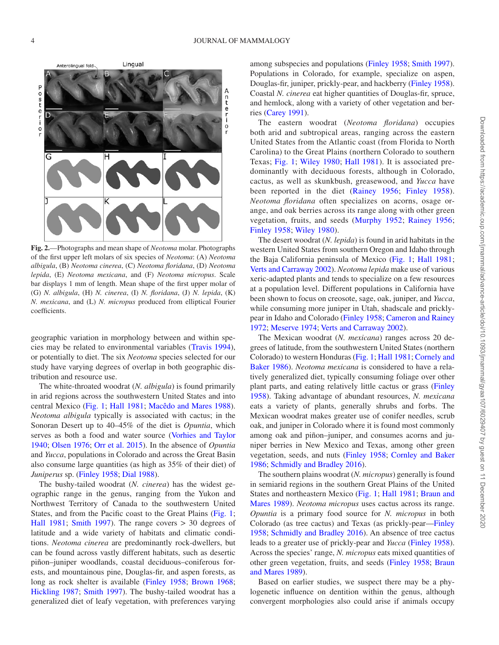

<span id="page-3-0"></span>**Fig. 2.**—Photographs and mean shape of *Neotoma* molar. Photographs of the first upper left molars of six species of *Neotoma*: (A) *Neotoma albigula*, (B) *Neotoma cinerea*, (C) *Neotoma floridana*, (D) *Neotoma lepida*, (E) *Neotoma mexicana*, and (F) *Neotoma micropus*. Scale bar displays 1 mm of length. Mean shape of the first upper molar of (G) *N. albigula*, (H) *N. cinerea*, (I) *N. floridana*, (J) *N. lepida*, (K) *N. mexicana*, and (L) *N. micropus* produced from elliptical Fourier coefficients.

geographic variation in morphology between and within species may be related to environmental variables ([Travis 1994](#page-14-25)), or potentially to diet. The six *Neotoma* species selected for our study have varying degrees of overlap in both geographic distribution and resource use.

The white-throated woodrat (*N. albigula*) is found primarily in arid regions across the southwestern United States and into central Mexico ([Fig. 1;](#page-2-0) [Hall 1981;](#page-13-12) [Macêdo and Mares 1988](#page-13-14)). *Neotoma albigula* typically is associated with cactus; in the Sonoran Desert up to 40–45% of the diet is *Opuntia*, which serves as both a food and water source [\(Vorhies and Taylor](#page-14-26) [1940](#page-14-26); [Olsen 1976;](#page-13-24) [Orr et al. 2015](#page-13-25)). In the absence of *Opuntia* and *Yucca*, populations in Colorado and across the Great Basin also consume large quantities (as high as 35% of their diet) of *Juniperus* sp. ([Finley 1958;](#page-13-26) [Dial 1988\)](#page-13-27).

The bushy-tailed woodrat (*N. cinerea*) has the widest geographic range in the genus, ranging from the Yukon and Northwest Territory of Canada to the southwestern United States, and from the Pacific coast to the Great Plains [\(Fig. 1](#page-2-0); [Hall 1981](#page-13-12); [Smith 1997](#page-14-13)). The range covers > 30 degrees of latitude and a wide variety of habitats and climatic conditions. *Neotoma cinerea* are predominantly rock-dwellers, but can be found across vastly different habitats, such as desertic piñon–juniper woodlands, coastal deciduous–coniferous forests, and mountainous pine, Douglas-fir, and aspen forests, as long as rock shelter is available ([Finley 1958](#page-13-26); [Brown 1968](#page-12-7); [Hickling 1987;](#page-13-28) [Smith 1997](#page-14-13)). The bushy-tailed woodrat has a generalized diet of leafy vegetation, with preferences varying among subspecies and populations [\(Finley 1958](#page-13-26); [Smith 1997](#page-14-13)). Populations in Colorado, for example, specialize on aspen, Douglas-fir, juniper, prickly-pear, and hackberry ([Finley 1958](#page-13-26)). Coastal *N. cinerea* eat higher quantities of Douglas-fir, spruce, and hemlock, along with a variety of other vegetation and berries [\(Carey 1991](#page-13-29)).

The eastern woodrat (*Neotoma floridana*) occupies both arid and subtropical areas, ranging across the eastern United States from the Atlantic coast (from Florida to North Carolina) to the Great Plains (northern Colorado to southern Texas; [Fig. 1](#page-2-0); [Wiley 1980](#page-14-12); [Hall 1981](#page-13-12)). It is associated predominantly with deciduous forests, although in Colorado, cactus, as well as skunkbush, greasewood, and *Yucca* have been reported in the diet ([Rainey 1956](#page-14-27); [Finley 1958\)](#page-13-26). *Neotoma floridana* often specializes on acorns, osage orange, and oak berries across its range along with other green vegetation, fruits, and seeds ([Murphy 1952;](#page-13-30) [Rainey 1956](#page-14-27); [Finley 1958;](#page-13-26) [Wiley 1980](#page-14-12)).

The desert woodrat (*N. lepida*) is found in arid habitats in the western United States from southern Oregon and Idaho through the Baja California peninsula of Mexico [\(Fig. 1;](#page-2-0) [Hall 1981](#page-13-12); [Verts and Carraway 2002\)](#page-14-14). *Neotoma lepida* make use of various xeric-adapted plants and tends to specialize on a few resources at a population level. Different populations in California have been shown to focus on creosote, sage, oak, juniper, and *Yucca*, while consuming more juniper in Utah, shadscale and pricklypear in Idaho and Colorado [\(Finley 1958](#page-13-26); [Cameron and Rainey](#page-12-8)  [1972](#page-12-8); [Meserve 1974](#page-13-31); [Verts and Carraway 2002\)](#page-14-14).

The Mexican woodrat (*N. mexicana*) ranges across 20 degrees of latitude, from the southwestern United States (northern Colorado) to western Honduras [\(Fig. 1](#page-2-0); [Hall 1981;](#page-13-12) [Cornely and](#page-13-13) [Baker 1986\)](#page-13-13). *Neotoma mexicana* is considered to have a relatively generalized diet, typically consuming foliage over other plant parts, and eating relatively little cactus or grass ([Finley](#page-13-26)  [1958\)](#page-13-26). Taking advantage of abundant resources, *N. mexicana* eats a variety of plants, generally shrubs and forbs. The Mexican woodrat makes greater use of conifer needles, scrub oak, and juniper in Colorado where it is found most commonly among oak and piñon–juniper, and consumes acorns and juniper berries in New Mexico and Texas, among other green vegetation, seeds, and nuts [\(Finley 1958;](#page-13-26) [Cornley and Baker](#page-13-13) [1986;](#page-13-13) [Schmidly and Bradley 2016](#page-14-28)).

The southern plains woodrat (*N. micropus*) generally is found in semiarid regions in the southern Great Plains of the United States and northeastern Mexico ([Fig. 1](#page-2-0); [Hall 1981;](#page-13-12) [Braun and](#page-12-9) [Mares 1989](#page-12-9)). *Neotoma micropus* uses cactus across its range. *Opuntia* is a primary food source for *N. micropus* in both Colorado (as tree cactus) and Texas (as prickly-pear—[Finley](#page-13-26) [1958](#page-13-26); [Schmidly and Bradley 2016\)](#page-14-28). An absence of tree cactus leads to a greater use of prickly-pear and *Yucca* [\(Finley 1958](#page-13-26)). Across the species' range, *N. micropus* eats mixed quantities of other green vegetation, fruits, and seeds [\(Finley 1958](#page-13-26); [Braun](#page-12-9) [and Mares 1989](#page-12-9)).

Based on earlier studies, we suspect there may be a phylogenetic influence on dentition within the genus, although convergent morphologies also could arise if animals occupy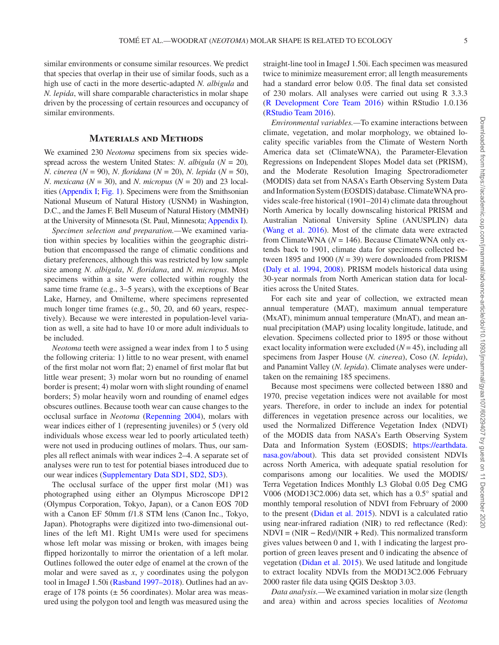similar environments or consume similar resources. We predict that species that overlap in their use of similar foods, such as a high use of cacti in the more desertic-adapted *N. albigula* and *N. lepida*, will share comparable characteristics in molar shape driven by the processing of certain resources and occupancy of similar environments.

#### **Materials and Methods**

We examined 230 *Neotoma* specimens from six species widespread across the western United States: *N. albigula*  $(N = 20)$ *, N*. *cinerea* (*N* = 90), *N*. *floridana* (*N* = 20), *N*. *lepida* (*N* = 50), *N*. *mexicana* ( $N = 30$ ), and *N*. *micropus* ( $N = 20$ ) and 23 localities ([Appendix I](http://academic.oup.com/jmammal/article-lookup/doi/10.1093/jmammal/gyaa107#supplementary-data); [Fig. 1](#page-2-0)). Specimens were from the Smithsonian National Museum of Natural History (USNM) in Washington, D.C., and the James F. Bell Museum of Natural History (MMNH) at the University of Minnesota (St. Paul, Minnesota; [Appendix I](http://academic.oup.com/jmammal/article-lookup/doi/10.1093/jmammal/gyaa107#supplementary-data)).

*Specimen selection and preparation.—*We examined variation within species by localities within the geographic distribution that encompassed the range of climatic conditions and dietary preferences, although this was restricted by low sample size among *N. albigula*, *N. floridana*, and *N. micropus*. Most specimens within a site were collected within roughly the same time frame (e.g., 3–5 years), with the exceptions of Bear Lake, Harney, and Omilteme, where specimens represented much longer time frames (e.g., 50, 20, and 60 years, respectively). Because we were interested in population-level variation as well, a site had to have 10 or more adult individuals to be included.

*Neotoma* teeth were assigned a wear index from 1 to 5 using the following criteria: 1) little to no wear present, with enamel of the first molar not worn flat; 2) enamel of first molar flat but little wear present; 3) molar worn but no rounding of enamel border is present; 4) molar worn with slight rounding of enamel borders; 5) molar heavily worn and rounding of enamel edges obscures outlines. Because tooth wear can cause changes to the occlusal surface in *Neotoma* ([Repenning 2004](#page-14-23)), molars with wear indices either of 1 (representing juveniles) or 5 (very old individuals whose excess wear led to poorly articulated teeth) were not used in producing outlines of molars. Thus, our samples all reflect animals with wear indices 2–4. A separate set of analyses were run to test for potential biases introduced due to our wear indices ([Supplementary Data SD1](http://academic.oup.com/jmammal/article-lookup/doi/10.1093/jmammal/gyaa107#supplementary-data), [SD2,](https://academic.oup.com/jmammal/article-lookup/doi/10.1093/jmammal/gyaa107#supplementary-data) [SD3\)](https://academic.oup.com/jmammal/article-lookup/doi/10.1093/jmammal/gyaa107#supplementary-data).

The occlusal surface of the upper first molar (M1) was photographed using either an Olympus Microscope DP12 (Olympus Corporation, Tokyo, Japan), or a Canon EOS 70D with a Canon EF 50mm f/1.8 STM lens (Canon Inc., Tokyo, Japan). Photographs were digitized into two-dimensional outlines of the left M1. Right UM1s were used for specimens whose left molar was missing or broken, with images being flipped horizontally to mirror the orientation of a left molar. Outlines followed the outer edge of enamel at the crown of the molar and were saved as *x*, *y* coordinates using the polygon tool in ImageJ 1.50i ([Rasband 1997–2018](#page-14-29)). Outlines had an average of 178 points  $(\pm 56$  coordinates). Molar area was measured using the polygon tool and length was measured using the straight-line tool in ImageJ 1.50i. Each specimen was measured twice to minimize measurement error; all length measurements had a standard error below 0.05. The final data set consisted of 230 molars. All analyses were carried out using R 3.3.3 [\(R Development Core Team 2016\)](#page-14-30) within RStudio 1.0.136 [\(RStudio Team 2016\)](#page-14-31).

*Environmental variables.—*To examine interactions between climate, vegetation, and molar morphology, we obtained locality specific variables from the Climate of Western North America data set (ClimateWNA), the Parameter-Elevation Regressions on Independent Slopes Model data set (PRISM), and the Moderate Resolution Imaging Spectroradiometer (MODIS) data set from NASA's Earth Observing System Data and Information System (EOSDIS) database. ClimateWNA provides scale-free historical (1901–2014) climate data throughout North America by locally downscaling historical PRISM and Australian National University Spline (ANUSPLIN) data (Wang et al. 2016). Most of the climate data were extracted from ClimateWNA (*N* = 146). Because ClimateWNA only extends back to 1901, climate data for specimens collected between 1895 and 1900  $(N = 39)$  were downloaded from PRISM [\(Daly et al. 1994](#page-13-32), [2008\)](#page-13-33). PRISM models historical data using 30-year normals from North American station data for localities across the United States.

For each site and year of collection, we extracted mean annual temperature (MAT), maximum annual temperature (MxAT), minimum annual temperature (MnAT), and mean annual precipitation (MAP) using locality longitude, latitude, and elevation. Specimens collected prior to 1895 or those without exact locality information were excluded (*N* = 45), including all specimens from Jasper House (*N. cinerea*), Coso (*N. lepida*), and Panamint Valley (*N. lepida*). Climate analyses were undertaken on the remaining 185 specimens.

Because most specimens were collected between 1880 and 1970, precise vegetation indices were not available for most years. Therefore, in order to include an index for potential differences in vegetation presence across our localities, we used the Normalized Difference Vegetation Index (NDVI) of the MODIS data from NASA's Earth Observing System Data and Information System (EOSDIS; [https://earthdata.](https://earthdata.nasa.gov/about) [nasa.gov/about](https://earthdata.nasa.gov/about)). This data set provided consistent NDVIs across North America, with adequate spatial resolution for comparisons among our localities. We used the MODIS/ Terra Vegetation Indices Monthly L3 Global 0.05 Deg CMG V006 (MOD13C2.006) data set, which has a 0.5° spatial and monthly temporal resolution of NDVI from February of 2000 to the present [\(Didan et al. 2015\)](#page-13-34). NDVI is a calculated ratio using near-infrared radiation (NIR) to red reflectance (Red): NDVI = (NIR − Red)/(NIR + Red). This normalized transform gives values between 0 and 1, with 1 indicating the largest proportion of green leaves present and 0 indicating the absence of vegetation ([Didan et al. 2015\)](#page-13-34). We used latitude and longitude to extract locality NDVIs from the MOD13C2.006 February 2000 raster file data using QGIS Desktop 3.03.

*Data analysis.—*We examined variation in molar size (length and area) within and across species localities of *Neotoma*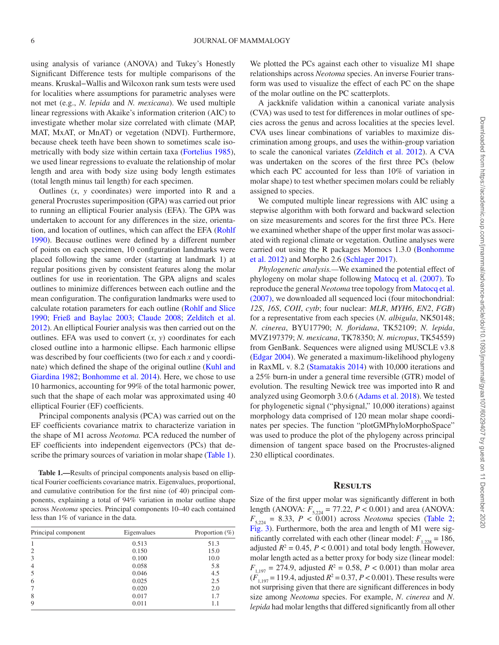using analysis of variance (ANOVA) and Tukey's Honestly Significant Difference tests for multiple comparisons of the means. Kruskal−Wallis and Wilcoxon rank sum tests were used for localities where assumptions for parametric analyses were not met (e.g., *N. lepida* and *N. mexicana*). We used multiple linear regressions with Akaike's information criterion (AIC) to investigate whether molar size correlated with climate (MAP, MAT, MxAT, or MnAT) or vegetation (NDVI). Furthermore, because cheek teeth have been shown to sometimes scale isometrically with body size within certain taxa ([Fortelius 1985](#page-13-35)), we used linear regressions to evaluate the relationship of molar length and area with body size using body length estimates (total length minus tail length) for each specimen.

Outlines (*x*, *y* coordinates) were imported into R and a general Procrustes superimposition (GPA) was carried out prior to running an elliptical Fourier analysis (EFA). The GPA was undertaken to account for any differences in the size, orientation, and location of outlines, which can affect the EFA [\(Rohlf](#page-14-33) [1990](#page-14-33)). Because outlines were defined by a different number of points on each specimen, 10 configuration landmarks were placed following the same order (starting at landmark 1) at regular positions given by consistent features along the molar outlines for use in reorientation. The GPA aligns and scales outlines to minimize differences between each outline and the mean configuration. The configuration landmarks were used to calculate rotation parameters for each outline [\(Rohlf and Slice](#page-14-33)  [1990](#page-14-33); [Frieß and Baylac 2003](#page-13-21); [Claude 2008](#page-13-17); [Zelditch et al.](#page-14-19) [2012](#page-14-19)). An elliptical Fourier analysis was then carried out on the outlines. EFA was used to convert (*x*, *y*) coordinates for each closed outline into a harmonic ellipse. Each harmonic ellipse was described by four coefficients (two for each *x* and *y* coordinate) which defined the shape of the original outline [\(Kuhl and](#page-13-18) [Giardina 1982;](#page-13-18) [Bonhomme et al. 2014\)](#page-12-4). Here, we chose to use 10 harmonics, accounting for 99% of the total harmonic power, such that the shape of each molar was approximated using 40 elliptical Fourier (EF) coefficients.

Principal components analysis (PCA) was carried out on the EF coefficients covariance matrix to characterize variation in the shape of M1 across *Neotoma.* PCA reduced the number of EF coefficients into independent eigenvectors (PCs) that de-scribe the primary sources of variation in molar shape [\(Table 1](#page-5-0)).

<span id="page-5-0"></span>**Table 1.—**Results of principal components analysis based on elliptical Fourier coefficients covariance matrix. Eigenvalues, proportional, and cumulative contribution for the first nine (of 40) principal components, explaining a total of 94% variation in molar outline shape across *Neotoma* species. Principal components 10–40 each contained less than 1% of variance in the data.

| Principal component | Eigenvalues | Proportion $(\% )$ |
|---------------------|-------------|--------------------|
|                     | 0.513       | 51.3               |
| $\overline{2}$      | 0.150       | 15.0               |
| 3                   | 0.100       | 10.0               |
| $\overline{4}$      | 0.058       | 5.8                |
| 5                   | 0.046       | 4.5                |
| 6                   | 0.025       | 2.5                |
| 7                   | 0.020       | 2.0                |
| 8                   | 0.017       | 1.7                |
| 9                   | 0.011       | 1.1                |

We plotted the PCs against each other to visualize M1 shape relationships across *Neotoma* species. An inverse Fourier transform was used to visualize the effect of each PC on the shape of the molar outline on the PC scatterplots.

A jackknife validation within a canonical variate analysis (CVA) was used to test for differences in molar outlines of species across the genus and across localities at the species level. CVA uses linear combinations of variables to maximize discrimination among groups, and uses the within-group variation to scale the canonical variates [\(Zelditch et al. 2012\)](#page-14-19). A CVA was undertaken on the scores of the first three PCs (below which each PC accounted for less than 10% of variation in molar shape) to test whether specimen molars could be reliably assigned to species.

We computed multiple linear regressions with AIC using a stepwise algorithm with both forward and backward selection on size measurements and scores for the first three PCs. Here we examined whether shape of the upper first molar was associated with regional climate or vegetation. Outline analyses were carried out using the R packages Momocs 1.3.0 [\(Bonhomme](#page-12-10)  [et al. 2012\)](#page-12-10) and Morpho 2.6 ([Schlager 2017](#page-14-34)).

*Phylogenetic analysis.—*We examined the potential effect of phylogeny on molar shape following [Matocq et al. \(2007\)](#page-13-36). To reproduce the general *Neotoma* tree topology from [Matocq et al.](#page-13-36)  [\(2007\),](#page-13-36) we downloaded all sequenced loci (four mitochondrial: *12S*, *16S*, *COII*, *cytb*; four nuclear: *MLR*, *MYH6*, *EN2*, *FGB*) for a representative from each species (*N. albigula*, NK50148; *N. cinerea*, BYU17790; *N. floridana*, TK52109; *N. lepida*, MVZ197379; *N. mexicana*, TK78350; *N. micropus*, TK54559) from GenBank. Sequences were aligned using MUSCLE v3.8 [\(Edgar 2004\)](#page-13-37). We generated a maximum-likelihood phylogeny in RaxML v. 8.2 ([Stamatakis 2014](#page-14-35)) with 10,000 iterations and a 25% burn-in under a general time reversible (GTR) model of evolution. The resulting Newick tree was imported into R and analyzed using Geomorph 3.0.6 [\(Adams et al. 2018\)](#page-12-11). We tested for phylogenetic signal ("physignal," 10,000 iterations) against morphology data comprised of 120 mean molar shape coordinates per species. The function "plotGMPhyloMorphoSpace" was used to produce the plot of the phylogeny across principal dimension of tangent space based on the Procrustes-aligned 230 elliptical coordinates.

#### **Results**

Size of the first upper molar was significantly different in both length (ANOVA:  $F_{5,224} = 77.22$ ,  $P < 0.001$ ) and area (ANOVA:  $F_{5,224} = 8.33, P < 0.001$ ) across *Neotoma* species (Table 2; [Fig. 3](#page-7-0)). Furthermore, both the area and length of M1 were significantly correlated with each other (linear model:  $F_{1,228} = 186$ , adjusted  $R^2 = 0.45$ ,  $P < 0.001$ ) and total body length. However, molar length acted as a better proxy for body size (linear model:  $F_{1,197} = 274.9$ , adjusted  $R^2 = 0.58$ ,  $P < 0.001$ ) than molar area  $(F_{1,197} = 119.4$ , adjusted  $R^2 = 0.37$ ,  $P < 0.001$ ). These results were not surprising given that there are significant differences in body size among *Neotoma* species. For example, *N*. *cinerea* and *N*. *lepida* had molar lengths that differed significantly from all other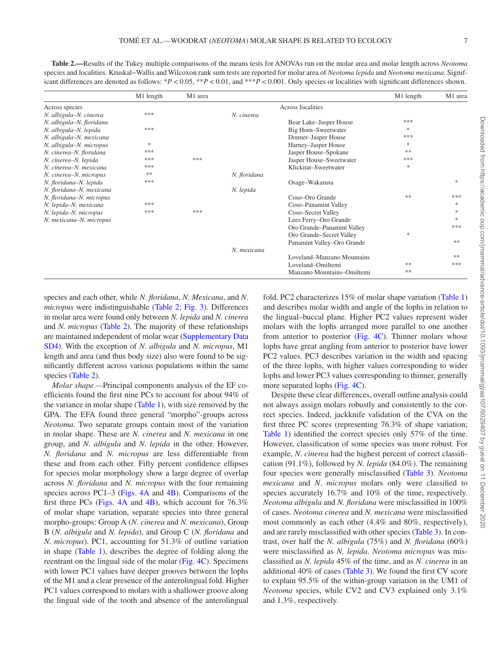<span id="page-6-0"></span>**Table 2.—**Results of the Tukey multiple comparisons of the means tests for ANOVAs run on the molar area and molar length across *Neotoma* species and localities. Kruskal−Wallis and Wilcoxon rank sum tests are reported for molar area of *Neotoma lepida* and *Neotoma mexicana.* Significant differences are denoted as follows: \**P* < 0.05, \*\**P* < 0.01, and \*\*\**P* < 0.001. Only species or localities with significant differences shown.

|                          | M1 length     | M1 area |              |                            | M1 length     | M1 area       |
|--------------------------|---------------|---------|--------------|----------------------------|---------------|---------------|
| Across species           |               |         |              | Across localities          |               |               |
| N. albigula-N. cinerea   | ***           |         | N. cinerea   |                            |               |               |
| N. albigula-N. floridana |               |         |              | Bear Lake-Jasper House     | ***           |               |
| N. albigula-N. lepida    | ***           |         |              | Big Horn-Sweetwater        | *             |               |
| N. albigula-N. mexicana  |               |         |              | Donner-Jasper House        | ***           |               |
| N. albigula-N. micropus  | $\frac{1}{2}$ |         |              | Harney-Jasper House        | $\frac{1}{2}$ |               |
| N. cinerea-N. floridana  | ***           |         |              | Jasper House-Spokane       | **            |               |
| N. cinerea-N. lepida     | ***           | ***     |              | Jasper House-Sweetwater    | ***           |               |
| N. cinerea–N. mexicana   | ***           |         |              | Klickitat-Sweetwater       | $\frac{1}{2}$ |               |
| N. cinerea-N. micropus   | **            |         | N. floridana |                            |               |               |
| N. floridana-N. lepida   | ***           |         |              | Osage-Wakarusa             |               | $\frac{1}{2}$ |
| N. floridana-N. mexicana |               |         | N. lepida    |                            |               |               |
| N. floridana-N. micropus |               |         |              | Coso-Oro Grande            | **            | ***           |
| N. lepida-N. mexicana    | ***           |         |              | Coso-Panamint Valley       |               | $\frac{1}{2}$ |
| N. lepida-N. micropus    | ***           | ***     |              | Coso-Secret Valley         |               | $\frac{1}{2}$ |
| N. mexicana-N. micropus  |               |         |              | Lees Ferry-Oro Grande      |               | $\frac{1}{2}$ |
|                          |               |         |              | Oro Grande-Panamint Valley |               | ***           |
|                          |               |         |              | Oro Grande-Secret Valley   | *             |               |
|                          |               |         |              | Panamint Valley–Oro Grande |               | **            |
|                          |               |         | N. mexicana  |                            |               |               |
|                          |               |         |              | Loveland-Manzano Mountains |               | **            |
|                          |               |         |              | Loveland-Omiltemi          | **            | ***           |
|                          |               |         |              | Manzano Mountains-Omiltemi | **            |               |

species and each other, while *N*. *floridana*, *N*. *Mexicana*, and *N*. *micropus* were indistinguishable [\(Table 2](#page-6-0); [Fig. 3](#page-7-0)). Differences in molar area were found only between *N. lepida* and *N. cinerea* and *N. micropus* [\(Table 2](#page-6-0)). The majority of these relationships are maintained independent of molar wear ([Supplementary Data](http://academic.oup.com/jmammal/article-lookup/doi/10.1093/jmammal/gyaa107#supplementary-data)  [SD4\)](http://academic.oup.com/jmammal/article-lookup/doi/10.1093/jmammal/gyaa107#supplementary-data). With the exception of *N. albigula* and *N. micropus*, M1 length and area (and thus body size) also were found to be significantly different across various populations within the same species [\(Table 2](#page-6-0)).

*Molar shape.—*Principal components analysis of the EF coefficients found the first nine PCs to account for about 94% of the variance in molar shape [\(Table 1\)](#page-5-0), with size removed by the GPA. The EFA found three general "morpho"-groups across *Neotoma*. Two separate groups contain most of the variation in molar shape. These are *N. cinerea* and *N. mexicana* in one group, and *N. albigula* and *N. lepida* in the other. However, *N. floridana* and *N. micropus* are less differentiable from these and from each other. Fifty percent confidence ellipses for species molar morphology show a large degree of overlap across *N. floridana* and *N. micropus* with the four remaining species across PC1–3 [\(Figs. 4A](#page-8-0) and [4B](#page-8-0)). Comparisons of the first three PCs (Figs.  $4A$  and  $4B$ ), which account for  $76.3\%$ of molar shape variation, separate species into three general morpho-groups: Group A (*N. cinerea* and *N. mexicana*), Group B (*N. albigula* and *N. lepida*), and Group C (*N. floridana* and *N. micropus*). PC1, accounting for 51.3% of outline variation in shape [\(Table 1\)](#page-5-0), describes the degree of folding along the reentrant on the lingual side of the molar [\(Fig. 4C](#page-8-0)). Specimens with lower PC1 values have deeper grooves between the lophs of the M1 and a clear presence of the anterolingual fold. Higher PC1 values correspond to molars with a shallower groove along the lingual side of the tooth and absence of the anterolingual fold. PC2 characterizes 15% of molar shape variation [\(Table 1\)](#page-5-0) and describes molar width and angle of the lophs in relation to the lingual–buccal plane. Higher PC2 values represent wider molars with the lophs arranged more parallel to one another from anterior to posterior (Fig. 4C). Thinner molars whose lophs have great angling from anterior to posterior have lower PC2 values. PC3 describes variation in the width and spacing of the three lophs, with higher values corresponding to wider lophs and lower PC3 values corresponding to thinner, generally more separated lophs ([Fig. 4C\)](#page-8-0).

Despite these clear differences, overall outline analysis could not always assign molars robustly and consistently to the correct species. Indeed, jackknife validation of the CVA on the first three PC scores (representing 76.3% of shape variation; [Table 1\)](#page-5-0) identified the correct species only 57% of the time. However, classification of some species was more robust. For example, *N*. *cinerea* had the highest percent of correct classification (91.1%), followed by *N*. *lepida* (84.0%). The remaining four species were generally misclassified ([Table 3\)](#page-9-0). *Neotoma mexicana* and *N*. *micropus* molars only were classified to species accurately 16.7% and 10% of the time, respectively. *Neotoma albigula* and *N. floridana* were misclassified in 100% of cases. *Neotoma cinerea* and *N. mexicana* were misclassified most commonly as each other (4.4% and 80%, respectively), and are rarely misclassified with other species [\(Table 3](#page-9-0)). In contrast, over half the *N. albigula* (75%) and *N. floridana* (60%) were misclassified as *N. lepida*. *Neotoma micropus* was misclassified as *N. lepida* 45% of the time, and as *N. cinerea* in an additional 40% of cases [\(Table 3\)](#page-9-0). We found the first CV score to explain 95.5% of the within-group variation in the UM1 of *Neotoma* species, while CV2 and CV3 explained only 3.1% and 1.3%, respectively.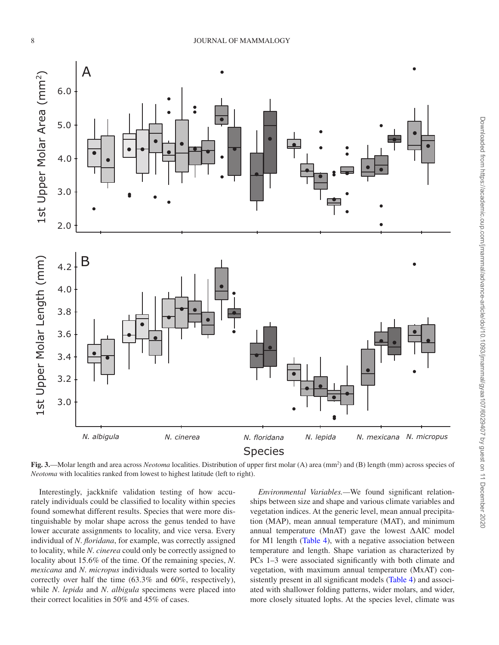8 JOURNAL OF MAMMALOGY



<span id="page-7-0"></span>Fig. 3.—Molar length and area across *Neotoma* localities. Distribution of upper first molar (A) area (mm<sup>2</sup>) and (B) length (mm) across species of *Neotoma* with localities ranked from lowest to highest latitude (left to right).

Interestingly, jackknife validation testing of how accurately individuals could be classified to locality within species found somewhat different results. Species that were more distinguishable by molar shape across the genus tended to have lower accurate assignments to locality, and vice versa. Every individual of *N*. *floridana*, for example, was correctly assigned to locality, while *N*. *cinerea* could only be correctly assigned to locality about 15.6% of the time. Of the remaining species, *N*. *mexicana* and *N*. *micropus* individuals were sorted to locality correctly over half the time (63.3% and 60%, respectively), while *N*. *lepida* and *N*. *albigula* specimens were placed into their correct localities in 50% and 45% of cases.

*Environmental Variables.—*We found significant relationships between size and shape and various climate variables and vegetation indices. At the generic level, mean annual precipitation (MAP), mean annual temperature (MAT), and minimum annual temperature (MnAT) gave the lowest ΔAIC model for M1 length [\(Table 4\)](#page-10-0), with a negative association between temperature and length. Shape variation as characterized by PCs 1–3 were associated significantly with both climate and vegetation, with maximum annual temperature (MxAT) consistently present in all significant models [\(Table 4\)](#page-10-0) and associated with shallower folding patterns, wider molars, and wider, more closely situated lophs. At the species level, climate was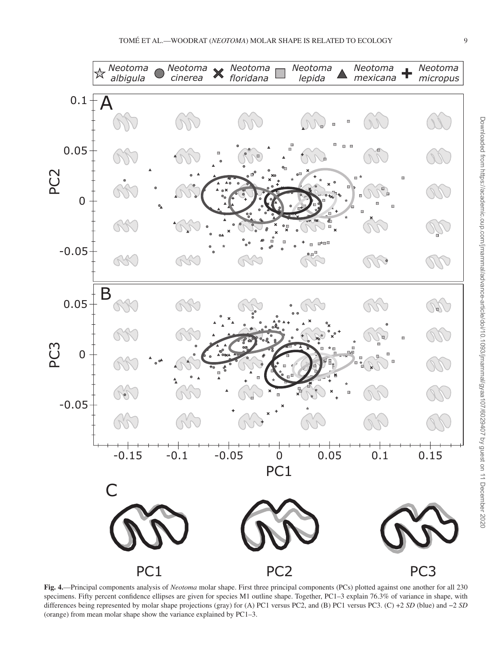

<span id="page-8-0"></span>**Fig. 4.**—Principal components analysis of *Neotoma* molar shape. First three principal components (PCs) plotted against one another for all 230 specimens. Fifty percent confidence ellipses are given for species M1 outline shape. Together, PC1–3 explain 76.3% of variance in shape, with differences being represented by molar shape projections (gray) for (A) PC1 versus PC2, and (B) PC1 versus PC3. (C) +2 *SD* (blue) and −2 *SD* (orange) from mean molar shape show the variance explained by PC1–3.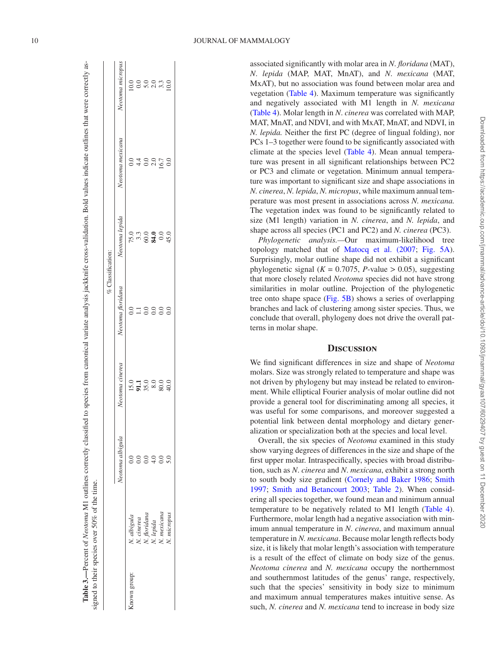associated significantly with molar area in *N*. *floridana* (MAT), *N*. *lepida* (MAP, MAT, MnAT), and *N*. *mexicana* (MAT, MxAT), but no association was found between molar area and vegetation ([Table 4](#page-10-0)). Maximum temperature was significantly and negatively associated with M1 length in *N. mexicana* [\(Table 4\)](#page-10-0). Molar length in *N*. *cinerea* was correlated with MAP, MAT, MnAT, and NDVI, and with MxAT, MnAT, and NDVI, in *N. lepida.* Neither the first PC (degree of lingual folding), nor PCs 1–3 together were found to be significantly associated with climate at the species level ([Table 4](#page-10-0)). Mean annual temperature was present in all significant relationships between PC2 or PC3 and climate or vegetation. Minimum annual tempera ture was important to significant size and shape associations in *N. cinerea*, *N. lepida*, *N. micropus*, while maximum annual tem perature was most present in associations across *N. mexicana.* The vegetation index was found to be significantly related to size (M1 length) variation in *N. cinerea*, and *N. lepida*, and shape across all species (PC1 and PC2) and *N. cinerea* (PC3).

*Phylogenetic analysis.—*Our maximum-likelihood tree topology matched that of [Matocq et al. \(2007](#page-13-36); [Fig. 5A](#page-11-0)). Surprisingly, molar outline shape did not exhibit a significant phylogenetic signal ( $K = 0.7075$ , *P*-value > 0.05), suggesting that more closely related *Neotoma* species did not have strong similarities in molar outline. Projection of the phylogenetic tree onto shape space ([Fig. 5B](#page-11-0)) shows a series of overlapping branches and lack of clustering among sister species. Thus, we conclude that overall, phylogeny does not drive the overall pat terns in molar shape.

## **Discussion**

We find significant differences in size and shape of *Neotoma* molars. Size was strongly related to temperature and shape was not driven by phylogeny but may instead be related to environ ment. While elliptical Fourier analysis of molar outline did not provide a general tool for discriminating among all species, it was useful for some comparisons, and moreover suggested a potential link between dental morphology and dietary gener alization or specialization both at the species and local level.

<span id="page-9-0"></span>Overall, the six species of *Neotoma* examined in this study show varying degrees of differences in the size and shape of the first upper molar. Intraspecifically, species with broad distribu tion, such as *N*. *cinerea* and *N*. *mexicana*, exhibit a strong north to south body size gradient [\(Cornely and Baker 1986;](#page-13-13) [Smith](#page-14-13) [1997](#page-14-13); [Smith and Betancourt 2003;](#page-14-17) [Table 2\)](#page-6-0). When consid ering all species together, we found mean and minimum annual temperature to be negatively related to M1 length [\(Table 4](#page-10-0)). Furthermore, molar length had a negative association with min imum annual temperature in *N*. *cinerea*, and maximum annual temperature in *N. mexicana*. Because molar length reflects body size, it is likely that molar length's association with temperature is a result of the effect of climate on body size of the genus. *Neotoma cinerea* and *N. mexicana* occupy the northernmost and southernmost latitudes of the genus' range, respectively, such that the species' sensitivity in body size to minimum and maximum annual temperatures makes intuitive sense. As such, *N. cinerea* and *N. mexicana* tend to increase in body size

|             |                           |                    |                 |                   | % Classification: |                                                  |                                 |
|-------------|---------------------------|--------------------|-----------------|-------------------|-------------------|--------------------------------------------------|---------------------------------|
|             |                           | Neotoma albigula   | Neotoma cinerea | Neotoma floridana | Neotoma lepida    | Neotoma mexicana                                 | Neotoma micropus                |
| nown group: | N. albigula               | $_{\odot}^{\rm O}$ |                 |                   |                   |                                                  |                                 |
|             | N. cinerea                | S                  |                 | $\Box$            |                   |                                                  |                                 |
|             |                           | $\tilde{c}$        |                 | $_{\odot}$        |                   | $\begin{array}{c} 4.0 \\ 4.0 \\ 0.0 \end{array}$ |                                 |
|             | N. floridana<br>N. lepida | 4.0                |                 | 0.0               |                   |                                                  |                                 |
|             | N. mexicana               | $_{\odot}^{\rm O}$ | 13.88888        | $_{0.0}$          |                   | 16.7                                             | 0<br>0 0 0 0 m 0<br>0 0 n d m 0 |
|             | N. micropus               |                    |                 | 0.0               |                   | 0.0                                              |                                 |

**Table 3.—**Percent of *Neotoma* M1 outlines correctly classified to species from canonical variate analysis jackknife cross-validation. Bold values indicate outlines that were correctly as-

Table 3.—Percent of Neotoma M1 outlines correctly classified to species from canonical variate analysis jackknife cross-validation. Bold values indicate outlines that were correctly as-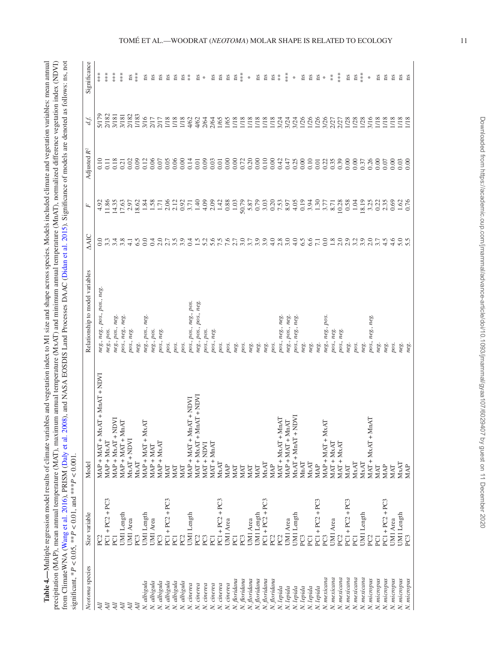<span id="page-10-0"></span>Table 4.-Multiple regression model results of climate variables and vegetation index to M1 size and shape across species. Models included climate and vegetation variables: mean annual **Table 4.—**Multiple regression model results of climate variables and vegetation index to M1 size and shape across species. Models included climate and vegetation variables: mean annual precipitation (MAP), mean annual temperature (MAT), maximum annual temperature (MxAT) and minimum annual temperature (MnAT), normalized difference vegetation index (NDVI) precipitation (MAP), mean annual temperature (MAT), maximum annual temperature (MxAT) and minimum annual temperature (MnAT), normalized difference vegetation index (NDVI) from ClimateWNA (Wang et al. 2016), PRISM (Daly et al. 2008), and NASA EOSDIS Land Processes DAAC (Didan et al. 2015). Significance of models are denoted as follows: ns, not from ClimateWNA ([Wang et al. 2016\)](#page-14-32), PRISM ([Daly et al. 2008](#page-13-33)), and NASA EOSDIS Land Processes DAAC ([Didan et al. 2015](#page-13-34)). Significance of models are denoted as follows: ns, not

|                            | significant, * $P < 0.05$ , ** $P < 0.01$ , and *** $P < 0.001$ . |                                                                                                                                                         |                                 |                         |                            |                         |                        |               |
|----------------------------|-------------------------------------------------------------------|---------------------------------------------------------------------------------------------------------------------------------------------------------|---------------------------------|-------------------------|----------------------------|-------------------------|------------------------|---------------|
| Neotoma species            | Size variable                                                     | Model                                                                                                                                                   | Relationship to model variables | <b>AAIC</b>             | Ŀ,                         | Adjusted R <sup>2</sup> | d.f.                   | Significance  |
| All                        | PC2                                                               | $\begin{aligned} \text{MAP} + \text{MAT} + \text{MAX} + \text{MnAT} + \text{NDVI} \end{aligned}$                                                        | neg., neg., pos., pos., neg.    | 0.0                     | 4.92                       | 0.10                    | 5/179                  | $***$         |
| All                        | $PC1 + PC2 + PC3$                                                 | $MAP + MxAT$                                                                                                                                            | neg., pos.                      | 3.3                     | 1.86                       | $\overline{11}$         | 2/182                  | $***$         |
| All                        | PC <sub>1</sub>                                                   |                                                                                                                                                         | neg., pos., neg.                |                         | 4.35                       | 0.18                    | 3/181                  | $**\ast$      |
| All                        | UM1 Length                                                        | $\begin{array}{l} \text{MAP} + \text{MAX} + \text{NDVI} \\ \text{MAP} + \text{MAT} + \text{MAT} \end{array}$                                            | pos., neg., neg.                | 3.8                     | 17.63                      |                         | 3/181                  | $***$         |
| All                        | UMI Area                                                          | $MxAT + NDVI$                                                                                                                                           | pos., neg.                      | $\frac{1}{4}$           | 2.97                       |                         |                        | ns            |
| All                        | PC <sub>3</sub>                                                   | MxAT                                                                                                                                                    | neg.                            | 6.5                     | 18.62                      | $\frac{21}{0.00}$       |                        | $***$         |
| N. albigula                | UM1 Length                                                        | $MAP + MAT + MAX$                                                                                                                                       | neg., pos., neg.                | 0.0                     |                            | 0.12                    | 2/182<br>1/183<br>3/16 | ns            |
| N. albigula                | UMI Area                                                          | $MAP + MAT$                                                                                                                                             | neg., pos.                      | 0.4                     |                            |                         |                        | ns            |
| N. albigula                | PC <sub>3</sub>                                                   | $MAP + MXAT$                                                                                                                                            | pos., neg.                      | 2.0                     | $1.34$<br>$1.71$           | 0.06                    | $\frac{2}{17}$         | Ξ             |
| N. albigula<br>N. albigula | $PC1 + PC2 + PC3$                                                 | MAT                                                                                                                                                     | pos.                            | 2.7                     | 2.06                       |                         | 1/18                   | ns            |
|                            | PC <sub>1</sub>                                                   | MAT                                                                                                                                                     | pos.                            | 3.5                     | 2.12                       | $0.05$<br>$0.06$        | 1/18                   | ns            |
| N. albigula                | PC <sub>2</sub>                                                   | MAT                                                                                                                                                     | pos.                            |                         | 0.92                       |                         |                        | ns            |
| N. cinerea                 | UMI Length                                                        | MAP + MAT + MnAT + NDVI                                                                                                                                 | pos., pos., neg., pos.          | 0.4                     | $7.40$<br>$1.40$<br>$4.09$ | $0.14$<br>0.01          | 4/62<br>4/62           | $*$           |
| N. cinerea                 | PC <sub>2</sub>                                                   | MAT + MxAT + MnAT + NDVI                                                                                                                                | neg., pos., pos., neg.          | 1.5                     |                            |                         |                        | Ξ             |
| N. cinerea                 | PC3                                                               | NAT + NDVI                                                                                                                                              | pos., pos.                      |                         |                            | 0.09                    | 2/64                   | ₩             |
| N. cinerea                 | PC <sub>1</sub>                                                   | $MAT + MnAT$                                                                                                                                            | pos., neg.                      |                         |                            | 0.03                    | 2/64                   | ns            |
| N. cinerea                 | $PC1 + PC2 + PC3$                                                 | MxAT                                                                                                                                                    | pos.                            |                         |                            |                         |                        | ns            |
| N. cinerea                 | UM1 Area                                                          | MAP                                                                                                                                                     | pos.                            | 55757                   | $2.09$<br>$1.48$<br>$0.88$ | 0.00                    | 1/65                   | ns            |
| N. floridana               | PC <sub>1</sub>                                                   | MAT                                                                                                                                                     | neg.                            |                         | 1.03                       | 0.00                    | 1/18                   | ns            |
| N. floridana               | PC3                                                               | MAT                                                                                                                                                     | pos.                            | 3.0                     |                            | 0.72                    |                        | ***           |
| N. floridana               | UM1 Area                                                          | MAT                                                                                                                                                     | neg.                            |                         |                            |                         |                        | ₩             |
| N. floridana               | UM1 Length                                                        | MAT                                                                                                                                                     | neg.                            | $3.7$<br>$3.9$<br>$3.9$ | 50.79<br>5.87<br>0.79      | 0.20                    |                        | ns            |
| N. floridana               | $PC1 + PC2 + PC3$                                                 | MxAT                                                                                                                                                    | neg.                            |                         | 3.03                       |                         |                        | ns            |
| N. floridana               | PC2                                                               | MAP                                                                                                                                                     | pos.                            | $4.0$<br>$3.0$<br>$3.0$ | 0.20<br>7.53<br>8.97       |                         |                        | ns            |
| N. lepida                  | PC <sub>2</sub>                                                   |                                                                                                                                                         | pos., neg., neg.                |                         |                            |                         |                        | $*$           |
| N. lepida                  | UMI Area                                                          | $\begin{array}{l} \text{MAT} + \text{MAX} + \text{MnAT} \\ \text{MAP} + \text{MAT} + \text{MnAT} \\ \text{MAX} + \text{MnAT} + \text{NDVI} \end{array}$ | neg., pos., neg.                |                         |                            | 0.0047700               |                        | $***$         |
| N. lepida                  | UM1 Length                                                        |                                                                                                                                                         | pos, neg, neg.                  | $4.0$<br>6.5            | 4.05                       |                         | 3/24                   | $\frac{M}{N}$ |
| N. lepida                  | PC <sub>3</sub>                                                   | MnAT                                                                                                                                                    | neg.                            |                         | 0.19                       |                         |                        | ns            |
| N. lepida                  | PC <sub>1</sub>                                                   | MxAT                                                                                                                                                    | neg.                            | 6.6                     |                            | 0.10                    |                        | ns            |
| N. lepida                  | $PC1 + PC2 + PC3$                                                 | MAP                                                                                                                                                     | neg.                            | 7.1                     | 3.37<br>1.30<br>3.77       | 0.01                    | 1/26<br>1/26           | ns            |
| N. mexicana                | PC3                                                               | $MAP + MAT + MAX$                                                                                                                                       | neg., neg., pos.                | 0.0                     |                            | 0.22                    |                        | $\ast$        |
| N. mexicana                | UM1 Area                                                          | $MAT + MxAT$                                                                                                                                            | pos., neg.                      |                         | 8.71                       | 0.35                    | 2/27<br>2/27<br>1/28   | $*$           |
| N. mexicana                | PC <sub>2</sub>                                                   | MAT + MxAT                                                                                                                                              | pos., neg.                      |                         | $\frac{0.28}{0.58}$        |                         |                        | $***$         |
| N. mexicana                | $PC1 + PC2 + PC3$                                                 | MAT                                                                                                                                                     | neg.                            |                         |                            | 0.00000                 |                        | ns            |
| N. mexicana                | PC <sub>1</sub>                                                   | MxAT                                                                                                                                                    | pos.                            |                         | 1.04                       |                         | 1/28                   | ns            |
| N. mexicana                | UM1 Length                                                        | MxAT                                                                                                                                                    | neg.                            |                         | 8.19                       | 0.37                    | 1/28                   | $***$         |
| N. micropus                | PC <sub>2</sub>                                                   | $MAX + MAX + NMAX + N1A$                                                                                                                                | pos., neg., neg                 | 2.0                     | 3.25                       | 0.26                    | 3/16                   | $\star$       |
| N. micropus                | PC <sub>1</sub>                                                   | MAT                                                                                                                                                     | neg.                            | 3.7                     | 0.22                       | 0.00                    | $\frac{1}{1}$ 118      | ns            |
| N. micropus                | $PC1 + PC2 + PC3$                                                 | MAP                                                                                                                                                     | neg.                            | 4.5                     | 2.35                       | 0.07                    |                        | ns            |
| N. micropus                | UM1 Area                                                          | MAT                                                                                                                                                     | pos.                            | 4.6                     | 0.69                       | 0.00                    | 1/18                   | n s           |
| N. micropus                | UM1 Length                                                        | MxAT                                                                                                                                                    | neg.                            |                         | 1.62                       | 0.03                    | 1/18                   | ns            |
| N. micropus                | PC <sub>3</sub>                                                   | MAP                                                                                                                                                     | neg                             |                         | 0.76                       | 0.00                    | 1/18                   | ns            |
|                            |                                                                   |                                                                                                                                                         |                                 |                         |                            |                         |                        |               |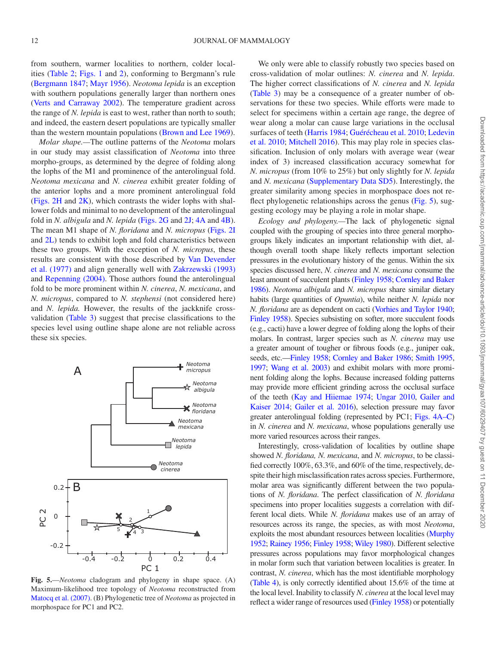from southern, warmer localities to northern, colder localities [\(Table 2;](#page-6-0) [Figs. 1](#page-2-0) and [2\)](#page-3-0), conforming to Bergmann's rule [\(Bergmann 1847](#page-12-12); [Mayr 1956\)](#page-13-38). *Neotoma lepida* is an exception with southern populations generally larger than northern ones [\(Verts and Carraway 2002\)](#page-14-14). The temperature gradient across the range of *N. lepida* is east to west, rather than north to south; and indeed, the eastern desert populations are typically smaller than the western mountain populations ([Brown and Lee 1969\)](#page-12-13).

*Molar shape.—*The outline patterns of the *Neotoma* molars in our study may assist classification of *Neotoma* into three morpho-groups, as determined by the degree of folding along the lophs of the M1 and prominence of the anterolingual fold. *Neotoma mexicana* and *N. cinerea* exhibit greater folding of the anterior lophs and a more prominent anterolingual fold [\(Figs. 2H](#page-3-0) and [2K\)](#page-3-0), which contrasts the wider lophs with shallower folds and minimal to no development of the anterolingual fold in *N. albigula* and *N. lepida* ([Figs. 2G](#page-3-0) and [2J](#page-3-0); [4A](#page-8-0) and [4B](#page-8-0)). The mean M1 shape of *N. floridana* and *N. micropus* [\(Figs. 2I](#page-3-0) and [2L\)](#page-3-0) tends to exhibit loph and fold characteristics between these two groups. With the exception of *N. micropus*, these results are consistent with those described by [Van Devender](#page-14-36) [et al. \(1977\)](#page-14-36) and align generally well with [Zakrzewski \(1993\)](#page-14-22) and [Repenning \(2004\).](#page-14-23) Those authors found the anterolingual fold to be more prominent within *N. cinerea*, *N. mexicana*, and *N. micropus*, compared to *N. stephensi* (not considered here) and *N. lepida.* However, the results of the jackknife crossvalidation ([Table 3](#page-9-0)) suggest that precise classifications to the species level using outline shape alone are not reliable across these six species.



<span id="page-11-0"></span>**Fig. 5.**—*Neotoma* cladogram and phylogeny in shape space. (A) Maximum-likelihood tree topology of *Neotoma* reconstructed from [Matocq et al. \(2007\).](#page-13-36) (B) Phylogenetic tree of *Neotoma* as projected in morphospace for PC1 and PC2.

We only were able to classify robustly two species based on cross-validation of molar outlines: *N. cinerea* and *N. lepida*. The higher correct classifications of *N. cinerea* and *N. lepida* [\(Table 3](#page-9-0)) may be a consequence of a greater number of observations for these two species. While efforts were made to select for specimens within a certain age range, the degree of wear along a molar can cause large variations in the occlusal surfaces of teeth [\(Harris 1984](#page-13-10); [Guérécheau et al. 2010;](#page-13-11) [Ledevin](#page-13-9) [et al. 2010](#page-13-9); [Mitchell 2016\)](#page-13-20). This may play role in species classification. Inclusion of only molars with average wear (wear index of 3) increased classification accuracy somewhat for *N. micropus* (from 10% to 25%) but only slightly for *N. lepida* and *N. mexicana* ([Supplementary Data SD5](http://academic.oup.com/jmammal/article-lookup/doi/10.1093/jmammal/gyaa107#supplementary-data)). Interestingly, the greater similarity among species in morphospace does not re-flect phylogenetic relationships across the genus [\(Fig. 5](#page-11-0)), suggesting ecology may be playing a role in molar shape.

*Ecology and phylogeny.—*The lack of phylogenetic signal coupled with the grouping of species into three general morphogroups likely indicates an important relationship with diet, although overall tooth shape likely reflects important selection pressures in the evolutionary history of the genus. Within the six species discussed here, *N. cinerea* and *N. mexicana* consume the least amount of succulent plants [\(Finley 1958;](#page-13-26) [Cornley and Baker](#page-13-13)  [1986](#page-13-13)). *Neotoma albigula* and *N. micropus* share similar dietary habits (large quantities of *Opuntia*), while neither *N. lepida* nor *N. floridana* are as dependent on cacti [\(Vorhies and Taylor 1940](#page-14-26); [Finley 1958\)](#page-13-26). Species subsisting on softer, more succulent foods (e.g., cacti) have a lower degree of folding along the lophs of their molars. In contrast, larger species such as *N. cinerea* may use a greater amount of tougher or fibrous foods (e.g., juniper oak, seeds, etc.[—Finley 1958;](#page-13-26) [Cornley and Baker 1986;](#page-13-13) [Smith 1995,](#page-14-15) [1997](#page-14-13); [Wang et al. 2003\)](#page-14-37) and exhibit molars with more prominent folding along the lophs. Because increased folding patterns may provide more efficient grinding across the occlusal surface of the teeth ([Kay and Hiiemae 1974](#page-13-39); [Ungar 2010](#page-14-3), [Gailer and](#page-13-40)  [Kaiser 2014](#page-13-40); [Gailer et al. 2016\)](#page-13-7), selection pressure may favor greater anterolingual folding (represented by PC1; [Figs. 4A–C\)](#page-8-0) in *N. cinerea* and *N. mexicana*, whose populations generally use more varied resources across their ranges.

Interestingly, cross-validation of localities by outline shape showed *N. floridana, N. mexicana*, and *N. micropus*, to be classified correctly 100%, 63.3%, and 60% of the time, respectively, despite their high misclassification rates across species. Furthermore, molar area was significantly different between the two populations of *N. floridana*. The perfect classification of *N. floridana* specimens into proper localities suggests a correlation with different local diets. While *N. floridana* makes use of an array of resources across its range, the species, as with most *Neotoma*, exploits the most abundant resources between localities ([Murphy](#page-13-30)  [1952](#page-13-30); [Rainey 1956;](#page-14-27) [Finley 1958;](#page-13-26) [Wiley 1980\)](#page-14-12). Different selective pressures across populations may favor morphological changes in molar form such that variation between localities is greater. In contrast, *N. cinerea*, which has the most identifiable morphology [\(Table 4](#page-10-0)), is only correctly identified about 15.6% of the time at the local level. Inability to classify *N. cinerea* at the local level may reflect a wider range of resources used ([Finley 1958](#page-13-26)) or potentially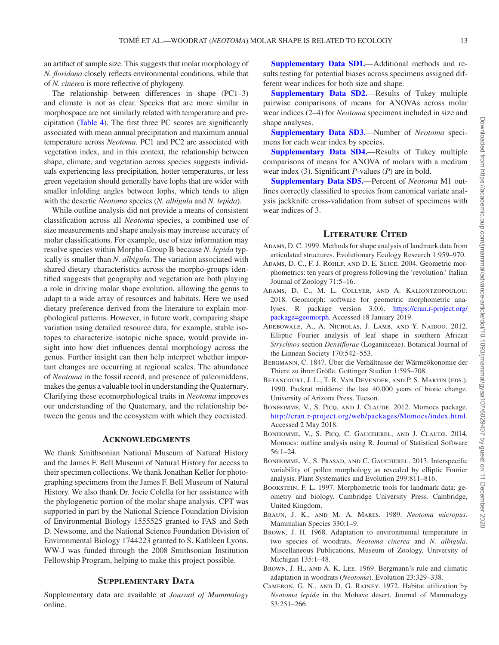an artifact of sample size. This suggests that molar morphology of *N. floridana* closely reflects environmental conditions, while that of *N. cinerea* is more reflective of phylogeny.

The relationship between differences in shape (PC1–3) and climate is not as clear. Species that are more similar in morphospace are not similarly related with temperature and precipitation ([Table 4\)](#page-10-0). The first three PC scores are significantly associated with mean annual precipitation and maximum annual temperature across *Neotoma.* PC1 and PC2 are associated with vegetation index, and in this context, the relationship between shape, climate, and vegetation across species suggests individuals experiencing less precipitation, hotter temperatures, or less green vegetation should generally have lophs that are wider with smaller infolding angles between lophs, which tends to align with the desertic *Neotoma* species (*N. albigula* and *N. lepida*).

While outline analysis did not provide a means of consistent classification across all *Neotoma* species, a combined use of size measurements and shape analysis may increase accuracy of molar classifications. For example, use of size information may resolve species within Morpho-Group B because *N. lepida* typically is smaller than *N. albigula.* The variation associated with shared dietary characteristics across the morpho-groups identified suggests that geography and vegetation are both playing a role in driving molar shape evolution, allowing the genus to adapt to a wide array of resources and habitats. Here we used dietary preference derived from the literature to explain morphological patterns. However, in future work, comparing shape variation using detailed resource data, for example, stable isotopes to characterize isotopic niche space, would provide insight into how diet influences dental morphology across the genus. Further insight can then help interpret whether important changes are occurring at regional scales. The abundance of *Neotoma* in the fossil record, and presence of paleomiddens, makes the genus a valuable tool in understanding the Quaternary. Clarifying these ecomorphological traits in *Neotoma* improves our understanding of the Quaternary, and the relationship between the genus and the ecosystem with which they coexisted.

## **Acknowledgments**

We thank Smithsonian National Museum of Natural History and the James F. Bell Museum of Natural History for access to their specimen collections. We thank Jonathan Keller for photographing specimens from the James F. Bell Museum of Natural History. We also thank Dr. Jocie Colella for her assistance with the phylogenetic portion of the molar shape analysis. CPT was supported in part by the National Science Foundation Division of Environmental Biology 1555525 granted to FAS and Seth D. Newsome, and the National Science Foundation Division of Environmental Biology 1744223 granted to S. Kathleen Lyons. WW-J was funded through the 2008 Smithsonian Institution Fellowship Program, helping to make this project possible.

# **SUPPLEMENTARY DATA**

Supplementary data are available at *Journal of Mammalogy* online.

**[Supplementary Data SD1.](http://academic.oup.com/jmammal/article-lookup/doi/10.1093/jmammal/gyaa107#supplementary-data)**—Additional methods and results testing for potential biases across specimens assigned different wear indices for both size and shape.

**[Supplementary Data SD2.](http://academic.oup.com/jmammal/article-lookup/doi/10.1093/jmammal/gyaa107#supplementary-data)**—Results of Tukey multiple pairwise comparisons of means for ANOVAs across molar wear indices (2–4) for *Neotoma* specimens included in size and shape analyses.

**[Supplementary Data SD3.](http://academic.oup.com/jmammal/article-lookup/doi/10.1093/jmammal/gyaa107#supplementary-data)**—Number of *Neotoma* specimens for each wear index by species.

**[Supplementary Data SD4.](http://academic.oup.com/jmammal/article-lookup/doi/10.1093/jmammal/gyaa107#supplementary-data)**—Results of Tukey multiple comparisons of means for ANOVA of molars with a medium wear index (3). Significant *P*-values (*P*) are in bold.

**[Supplementary Data SD5.](http://academic.oup.com/jmammal/article-lookup/doi/10.1093/jmammal/gyaa107#supplementary-data)**—Percent of *Neotoma* M1 outlines correctly classified to species from canonical variate analysis jackknife cross-validation from subset of specimens with wear indices of 3.

#### **Literature Cited**

- <span id="page-12-2"></span>ADAMS, D. C. 1999. Methods for shape analysis of landmark data from articulated structures. Evolutionary Ecology Research 1:959–970.
- <span id="page-12-3"></span>Adams, D. C., F. J. Rohlf, and D. E. Slice. 2004. Geometric morphometrics: ten years of progress following the 'revolution.' Italian Journal of Zoology 71:5–16.
- <span id="page-12-11"></span>Adams, D. C., M. L. Collyer, and A. Kaliontzopoulou. 2018. Geomorph: software for geometric morphometric analyses. R package version 3.0.6. [https://cran.r-project.org/](https://cran.r-project.org/package=geomorph) [package=geomorph.](https://cran.r-project.org/package=geomorph) Accessed 18 January 2019.
- <span id="page-12-5"></span>Adebowale, A., A. Nicholas, J. Lamb, and Y. Naidoo. 2012. Elliptic Fourier analysis of leaf shape in southern African *Strychnos* section *Densiflorae* (Loganiaceae). Botanical Journal of the Linnean Society 170:542–553.
- <span id="page-12-12"></span>Bergmann, C. 1847. Über die Verhältnisse der Wärmeökonomie der Thiere zu ihrer Größe. Gottinger Studien 1:595–708.
- <span id="page-12-0"></span>Betancourt, J. L., T. R. Van Devender, and P. S. Martin (eds.). 1990. Packrat middens: the last 40,000 years of biotic change. University of Arizona Press. Tucson.
- <span id="page-12-10"></span>Bonhomme, V., S. Picq, and J. Claude. 2012. Momocs package. [http://cran.r-project.org/web/packages/Momocs/index.html.](http://cran.r-project.org/web/packages/Momocs/index.html) Accessed 2 May 2018.
- <span id="page-12-4"></span>BONHOMME, V., S. PICQ, C. GAUCHEREL, AND J. CLAUDE. 2014. Momocs: outline analysis using R. Journal of Statistical Software 56:1–24.
- <span id="page-12-6"></span>Bonhomme, V., S. Prasad, and C. Gaucherel. 2013. Interspecific variability of pollen morphology as revealed by elliptic Fourier analysis. Plant Systematics and Evolution 299:811–816.
- <span id="page-12-1"></span>Bookstein, F. L. 1997. Morphometric tools for landmark data: geometry and biology. Cambridge University Press. Cambridge, United Kingdom.
- <span id="page-12-9"></span>Braun, J. K., and M. A. Mares. 1989. *Neotoma micropus*. Mammalian Species 330:1–9.
- <span id="page-12-7"></span>BROWN, J. H. 1968. Adaptation to environmental temperature in two species of woodrats, *Neotoma cinerea* and *N. albigula*. Miscellaneous Publications, Museum of Zoology, University of Michigan 135:1–48.
- <span id="page-12-13"></span>Brown, J. H., and A. K. Lee. 1969. Bergmann's rule and climatic adaptation in woodrats (*Neotoma*). Evolution 23:329–338.
- <span id="page-12-8"></span>Cameron, G. N., and D. G. Rainey. 1972. Habitat utilization by *Neotoma lepida* in the Mohave desert. Journal of Mammalogy 53:251–266.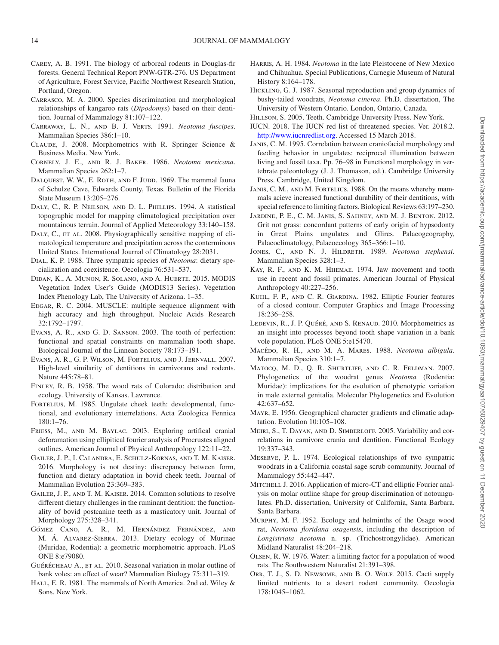- <span id="page-13-29"></span>Carey, A. B. 1991. The biology of arboreal rodents in Douglas-fir forests. General Technical Report PNW-GTR-276. US Department of Agriculture, Forest Service, Pacific Northwest Research Station, Portland, Oregon.
- <span id="page-13-5"></span>Carrasco, M. A. 2000. Species discrimination and morphological relationships of kangaroo rats (*Dipodomys*) based on their dentition. Journal of Mammalogy 81:107–122.
- <span id="page-13-16"></span>Carraway, L. N., and B. J. Verts. 1991. *Neotoma fuscipes*. Mammalian Species 386:1–10.
- <span id="page-13-17"></span>Claude, J. 2008. Morphometrics with R. Springer Science & Business Media. New York.
- <span id="page-13-13"></span>Cornely, J. E., and R. J. Baker. 1986. *Neotoma mexicana*. Mammalian Species 262:1–7.
- <span id="page-13-22"></span>DALQUEST, W. W., E. ROTH, AND F. JUDD. 1969. The mammal fauna of Schulze Cave, Edwards County, Texas. Bulletin of the Florida State Museum 13:205–276.
- <span id="page-13-32"></span>DALY, C., R. P. NEILSON, AND D. L. PHILLIPS. 1994. A statistical topographic model for mapping climatological precipitation over mountainous terrain. Journal of Applied Meteorology 33:140–158.
- <span id="page-13-33"></span>DALY, C., ET AL. 2008. Physiographically sensitive mapping of climatological temperature and precipitation across the conterminous United States. International Journal of Climatology 28:2031.
- <span id="page-13-27"></span>Dial, K. P. 1988. Three sympatric species of *Neotoma*: dietary specialization and coexistence. Oecologia 76:531–537.
- <span id="page-13-34"></span>Didan, K., A. Munon, R. Solano, and A. Huerte. 2015. MODIS Vegetation Index User's Guide (MODIS13 Series). Vegetation Index Phenology Lab, The University of Arizona. 1–35.
- <span id="page-13-37"></span>EDGAR, R. C. 2004. MUSCLE: multiple sequence alignment with high accuracy and high throughput. Nucleic Acids Research 32:1792–1797.
- <span id="page-13-1"></span>Evans, A. R., and G. D. Sanson. 2003. The tooth of perfection: functional and spatial constraints on mammalian tooth shape. Biological Journal of the Linnean Society 78:173–191.
- <span id="page-13-8"></span>Evans, A. R., G. P. Wilson, M. Fortelius, and J. Jernvall. 2007. High-level similarity of dentitions in carnivorans and rodents. Nature 445:78–81.
- <span id="page-13-26"></span>FINLEY, R. B. 1958. The wood rats of Colorado: distribution and ecology. University of Kansas. Lawrence.
- <span id="page-13-35"></span>FORTELIUS, M. 1985. Ungulate cheek teeth: developmental, functional, and evolutionary interrelations. Acta Zoologica Fennica 180:1–76.
- <span id="page-13-21"></span>Friess, M., and M. Baylac. 2003. Exploring artifical cranial deforamation using ellipitical fourier analysis of Procrustes aligned outlines. American Journal of Physical Anthropology 122:11–22.
- <span id="page-13-7"></span>Gailer, J. P., I. Calandra, E. Schulz-Kornas, and T. M. Kaiser. 2016. Morphology is not destiny: discrepancy between form, function and dietary adaptation in bovid cheek teeth. Journal of Mammalian Evolution 23:369–383.
- <span id="page-13-40"></span>Gailer, J. P., and T. M. Kaiser. 2014. Common solutions to resolve different dietary challenges in the ruminant dentition: the functionality of bovid postcanine teeth as a masticatory unit. Journal of Morphology 275:328–341.
- <span id="page-13-19"></span>Gómez Cano, A. R., M. Hernández Fernández, and M. Á. Alvarez-Sierra. 2013. Dietary ecology of Murinae (Muridae, Rodentia): a geometric morphometric approach. PLoS ONE 8:e79080.
- <span id="page-13-11"></span>GUÉRÉCHEAU A., ET AL. 2010. Seasonal variation in molar outline of bank voles: an effect of wear? Mammalian Biology 75:311–319.
- <span id="page-13-12"></span>HALL, E. R. 1981. The mammals of North America. 2nd ed. Wiley & Sons. New York.
- <span id="page-13-10"></span>Harris, A. H. 1984. *Neotoma* in the late Pleistocene of New Mexico and Chihuahua. Special Publications, Carnegie Museum of Natural History 8:164–178.
- <span id="page-13-28"></span>Hickling, G. J. 1987. Seasonal reproduction and group dynamics of bushy-tailed woodrats, *Neotoma cinerea*. Ph.D. dissertation, The University of Western Ontario. London, Ontario, Canada.
- <span id="page-13-6"></span>Hillson, S. 2005. Teeth. Cambridge University Press. New York.
- <span id="page-13-23"></span>IUCN. 2018. The IUCN red list of threatened species. Ver. 2018.2. [http://www.iucnredlist.org.](http://www.iucnredlist.org) Accessed 15 March 2018.
- <span id="page-13-2"></span>Janis, C. M. 1995. Correlation between craniofacial morphology and feeding behavior in ungulates: reciprocal illumination between living and fossil taxa. Pp. 76–98 in Functional morphology in vertebrate paleontology (J. J. Thomason, ed.). Cambridge University Press. Cambridge, United Kingdom.
- <span id="page-13-0"></span>Janis, C. M., and M. Fortelius. 1988. On the means whereby mammals acieve increased functional durability of their dentitions, with special reference to limiting factors. Biological Reviews 63:197–230.
- <span id="page-13-3"></span>Jardine, P. E., C. M. Janis, S. Sahney, and M. J. Benton. 2012. Grit not grass: concordant patterns of early origin of hypsodonty in Great Plains ungulates and Glires. Palaeogeography, Palaeoclimatology, Palaeoecology 365–366:1–10.
- <span id="page-13-15"></span>JONES, C., AND N. J. HILDRETH. 1989. *Neotoma stephensi*. Mammalian Species 328:1–3.
- <span id="page-13-39"></span>KAY, R. F., AND K. M. HIIEMAE. 1974. Jaw movement and tooth use in recent and fossil primates. American Journal of Physical Anthropology 40:227–256.
- <span id="page-13-18"></span>KUHL, F. P., AND C. R. GIARDINA. 1982. Elliptic Fourier features of a closed contour. Computer Graphics and Image Processing 18:236–258.
- <span id="page-13-9"></span>Ledevin, R., J. P. Quéré, and S. Renaud. 2010. Morphometrics as an insight into processes beyond tooth shape variation in a bank vole population. PLoS ONE 5:e15470.
- <span id="page-13-14"></span>Macêdo, R. H., and M. A. Mares. 1988. *Neotoma albigula*. Mammalian Species 310:1–7.
- <span id="page-13-36"></span>Matocq, M. D., Q. R. Shurtliff, and C. R. Feldman. 2007. Phylogenetics of the woodrat genus *Neotoma* (Rodentia: Muridae): implications for the evolution of phenotypic variation in male external genitalia. Molecular Phylogenetics and Evolution 42:637–652.
- <span id="page-13-38"></span>Mayr, E. 1956. Geographical character gradients and climatic adaptation. Evolution 10:105–108.
- <span id="page-13-4"></span>Meiri, S., T. Dayan, and D. Simberloff. 2005. Variability and correlations in carnivore crania and dentition. Functional Ecology 19:337–343.
- <span id="page-13-31"></span>Meserve, P. L. 1974. Ecological relationships of two sympatric woodrats in a California coastal sage scrub community. Journal of Mammalogy 55:442–447.
- <span id="page-13-20"></span>MITCHELL J. 2016. Application of micro-CT and elliptic Fourier analysis on molar outline shape for group discrimination of notoungulates. Ph.D. dissertation, University of California, Santa Barbara. Santa Barbara.
- <span id="page-13-30"></span>Murphy, M. F. 1952. Ecology and helminths of the Osage wood rat, *Neotoma floridana osagensis*, including the description of *Longistriata neotoma* n. sp. (Trichostrongylidae). American Midland Naturalist 48:204–218.
- <span id="page-13-24"></span>Olsen, R. W. 1976. Water: a limiting factor for a population of wood rats. The Southwestern Naturalist 21:391–398.
- <span id="page-13-25"></span>ORR, T. J., S. D. NEWSOME, AND B. O. WOLF. 2015. Cacti supply limited nutrients to a desert rodent community. Oecologia 178:1045–1062.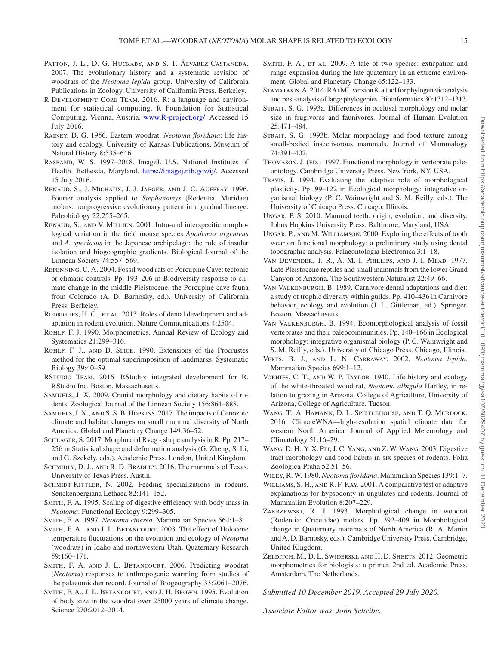- <span id="page-14-24"></span>PATTON, J. L., D. G. HUCKABY, AND S. T. ÁLVAREZ-CASTANEDA. 2007. The evolutionary history and a systematic revision of woodrats of the *Neotoma lepida* group. University of California Publications in Zoology, University of California Press. Berkeley.
- <span id="page-14-30"></span>R DEVELOPMENT CORE TEAM. 2016. R: a language and environment for statistical computing. R Foundation for Statistical Computing. Vienna, Austria. [www.R-project.org/.](http://www.R-project.org/) Accessed 15 July 2016.
- <span id="page-14-27"></span>Rainey, D. G. 1956. Eastern woodrat, *Neotoma floridana*: life history and ecology. University of Kansas Publications, Museum of Natural History 8:535–646.
- <span id="page-14-29"></span>Rasband, W. S. 1997–2018. ImageJ. U.S. National Institutes of Health. Bethesda, Maryland. [https://imagej.nih.gov/ij/.](https://imagej.nih.gov/ij/) Accessed 15 July 2016.
- <span id="page-14-20"></span>Renaud, S., J. Michaux, J. J. Jaeger, and J. C. Auffray. 1996. Fourier analysis applied to *Stephanomys* (Rodentia, Muridae) molars: nonprogressive evolutionary pattern in a gradual lineage. Paleobiology 22:255-265.
- <span id="page-14-21"></span>Renaud, S., and V. Millien. 2001. Intra-and interspecific morphological variation in the field mouse species *Apodemus argenteus* and *A. speciosus* in the Japanese archipelago: the role of insular isolation and biogeographic gradients. Biological Journal of the Linnean Society 74:557–569.
- <span id="page-14-23"></span>Repenning, C. A. 2004. Fossil wood rats of Porcupine Cave: tectonic or climatic controls. Pp. 193–206 in Biodiversity response to climate change in the middle Pleistocene: the Porcupine cave fauna from Colorado (A. D. Barnosky, ed.). University of California Press. Berkeley.
- <span id="page-14-11"></span>RODRIGUES, H. G., ET AL. 2013. Roles of dental development and adaptation in rodent evolution. Nature Communications 4:2504.
- ROHLF, F. J. 1990. Morphometrics. Annual Review of Ecology and Systematics 21:299–316.
- <span id="page-14-33"></span>ROHLF, F. J., AND D. SLICE. 1990. Extensions of the Procrustes method for the optimal superimposition of landmarks. Systematic Biology 39:40–59.
- <span id="page-14-31"></span>RSTUDIO TEAM. 2016. RStudio: integrated development for R. RStudio Inc. Boston, Massachusetts.
- <span id="page-14-2"></span>SAMUELS, J. X. 2009. Cranial morphology and dietary habits of rodents. Zoological Journal of the Linnean Society 156:864–888.
- <span id="page-14-5"></span>Samuels, J. X., and S. S. B. Hopkins. 2017. The impacts of Cenozoic climate and habitat changes on small mammal diversity of North America. Global and Planetary Change 149:36–52.
- <span id="page-14-34"></span>SCHLAGER, S. 2017. Morpho and Rvcg - shape analysis in R. Pp. 217– 256 in Statistical shape and deformation analysis (G. Zheng, S. Li, and G. Szekely, eds.). Academic Press. London, United Kingdom.
- <span id="page-14-28"></span>SCHMIDLY, D. J., AND R. D. BRADLEY. 2016. The mammals of Texas. University of Texas Press. Austin.
- <span id="page-14-1"></span>SCHMIDT-KITTLER, N. 2002. Feeding specializations in rodents. Senckenbergiana Lethaea 82:141–152.
- Smith, F. A. 1995. Scaling of digestive efficiency with body mass in *Neotoma*. Functional Ecology 9:299–305.
- <span id="page-14-13"></span>Smith, F. A. 1997. *Neotoma cinerea*. Mammalian Species 564:1–8.
- <span id="page-14-17"></span>SMITH, F. A., AND J. L. BETANCOURT. 2003. The effect of Holocene temperature fluctuations on the evolution and ecology of *Neotoma* (woodrats) in Idaho and northwestern Utah. Quaternary Research 59:160–171.
- <span id="page-14-18"></span>SMITH, F. A. AND J. L. BETANCOURT. 2006. Predicting woodrat (*Neotoma*) responses to anthropogenic warming from studies of the palaeomidden record. Journal of Biogeography 33:2061–2076.
- <span id="page-14-15"></span>Smith, F. A., J. L. Betancourt, and J. H. Brown. 1995. Evolution of body size in the woodrat over 25000 years of climate change. Science 270:2012–2014.
- <span id="page-14-16"></span>SMITH, F. A., ET AL. 2009. A tale of two species: extirpation and range expansion during the late quaternary in an extreme environment. Global and Planetary Change 65:122–133.
- <span id="page-14-35"></span>Stamatakis, A. 2014. RAxML version 8: a tool for phylogenetic analysis and post-analysis of large phylogenies. Bioinformatics 30:1312–1313.
- <span id="page-14-7"></span>STRAIT, S. G. 1993a. Differences in occlusal morphology and molar size in frugivores and faunivores. Journal of Human Evolution 25:471–484.
- <span id="page-14-8"></span>STRAIT, S. G. 1993b. Molar morphology and food texture among small-bodied insectivorous mammals. Journal of Mammalogy 74:391–402.
- <span id="page-14-10"></span>THOMASON, J. (ED.). 1997. Functional morphology in vertebrate paleontology. Cambridge University Press. New York, NY, USA.
- <span id="page-14-25"></span>Travis, J. 1994. Evaluating the adaptive role of morphological plasticity. Pp. 99–122 in Ecological morphology: integrative organismal biology (P. C. Wainwright and S. M. Reilly, eds.). The University of Chicago Press. Chicago, Illinois.
- <span id="page-14-3"></span>Ungar, P. S. 2010. Mammal teeth: origin, evolution, and diversity. Johns Hopkins University Press. Baltimore, Maryland, USA.
- <span id="page-14-0"></span>Ungar, P., and M. Williamson. 2000. Exploring the effects of tooth wear on functional morphology: a preliminary study using dental topographic analysis. Palaeontologia Electronica 3:1–18.
- <span id="page-14-36"></span>Van Devender, T. R., A. M. I. Phillips, and J. I. Mead. 1977. Late Pleistocene reptiles and small mammals from the lower Grand Canyon of Arizona. The Southwestern Naturalist 22:49–66.
- <span id="page-14-6"></span>Van Valkenburgh, B. 1989. Carnivore dental adaptations and diet: a study of trophic diversity within guilds. Pp. 410–436 in Carnivore behavior, ecology and evolution (J. L. Gittleman, ed.). Springer. Boston, Massachusetts.
- <span id="page-14-9"></span>Van Valkenburgh, B. 1994. Ecomorphological analysis of fossil vertebrates and their paleocommunities. Pp. 140–166 in Ecological morphology: integrative organismal biology (P. C. Wainwright and S. M. Reilly, eds.). University of Chicago Press. Chicago, Illinois.
- <span id="page-14-14"></span>Verts, B. J., and L. N. Carraway. 2002. *Neotoma lepida*. Mammalian Species 699:1–12.
- <span id="page-14-26"></span>Vorhies, C. T., and W. P. Taylor. 1940. Life history and ecology of the white-throated wood rat, *Neotoma albigula* Hartley, in relation to grazing in Arizona. College of Agriculture, University of Arizona, College of Agriculture. Tucson.
- <span id="page-14-32"></span>WANG, T., A. HAMANN, D. L. SPITTLEHOUSE, AND T. Q. MURDOCK. 2016. ClimateWNA—high-resolution spatial climate data for western North America. Journal of Applied Meteorology and Climatology 51:16–29.
- <span id="page-14-37"></span>Wang, D. H., Y. X. Pei, J. C. Yang, and Z. W. Wang. 2003. Digestive tract morphology and food habits in six species of rodents. Folia Zoologica-Praha 52:51–56.

<span id="page-14-12"></span>Wiley, R. W. 1980. *Neotoma floridana*. Mammalian Species 139:1–7.

- <span id="page-14-4"></span>Williams, S. H., and R. F. Kay. 2001. A comparative test of adaptive explanations for hypsodonty in ungulates and rodents. Journal of Mammalian Evolution 8:207–229.
- <span id="page-14-22"></span>Zakrzewski, R. J. 1993. Morphological change in woodrat (Rodentia: Cricetidae) molars. Pp. 392–409 in Morphological change in Quaternary mammals of North America (R. A. Martin and A. D. Barnosky, eds.). Cambridge University Press. Cambridge, United Kingdom.
- <span id="page-14-19"></span>Zelditch, M., D. L. Swiderski, and H. D. Sheets. 2012. Geometric morphometrics for biologists: a primer. 2nd ed. Academic Press. Amsterdam, The Netherlands.

*Submitted 10 December 2019. Accepted 29 July 2020.*

*Associate Editor was John Scheibe.*